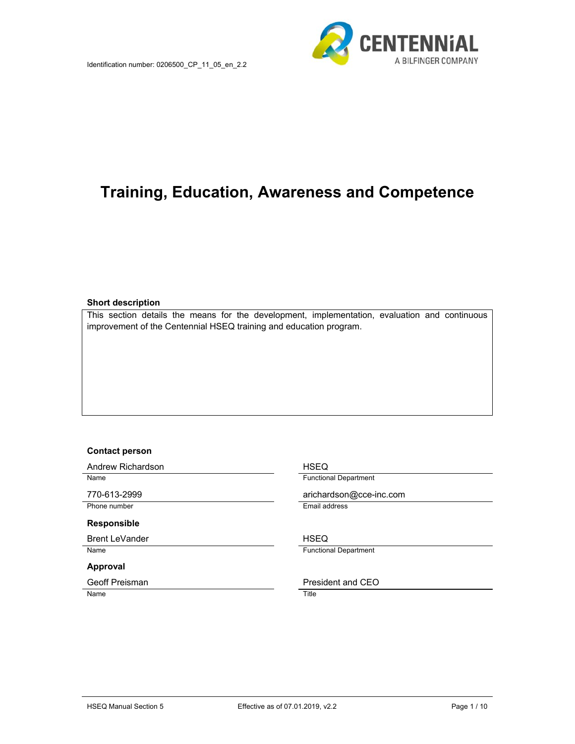

# **Training, Education, Awareness and Competence**

#### **Short description**

This section details the means for the development, implementation, evaluation and continuous improvement of the Centennial HSEQ training and education program.

#### **Contact person**

Andrew Richardson **HSEQ** 

#### **Responsible**

Brent LeVander **HSEQ** 

#### **Approval**

Name Title

Name **Functional Department** 

770-613-2999 arichardson@cce-inc.com Phone number **Email address** 

Name **Functional Department** 

#### Geoff Preisman **President and CEO**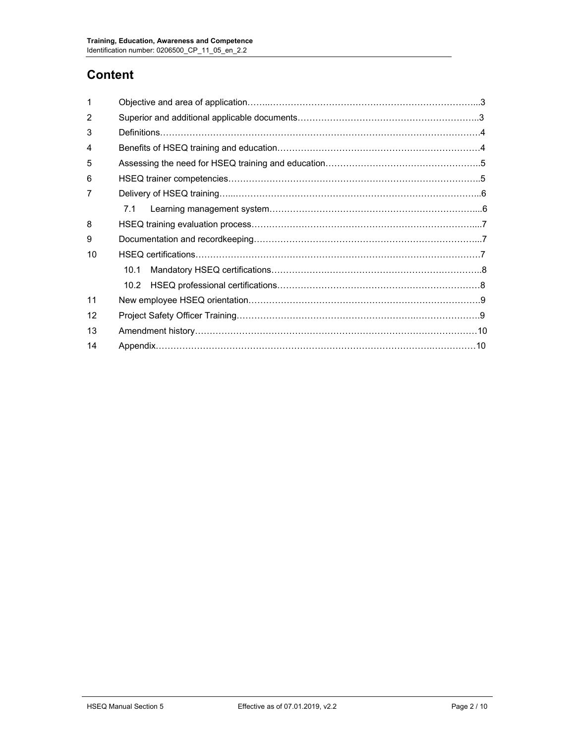# **Content**

| 1  |      |  |  |  |  |
|----|------|--|--|--|--|
| 2  |      |  |  |  |  |
| 3  |      |  |  |  |  |
| 4  |      |  |  |  |  |
| 5  |      |  |  |  |  |
| 6  |      |  |  |  |  |
| 7  |      |  |  |  |  |
|    | 7.1  |  |  |  |  |
| 8  |      |  |  |  |  |
| 9  |      |  |  |  |  |
| 10 |      |  |  |  |  |
|    | 10.1 |  |  |  |  |
|    | 10.2 |  |  |  |  |
| 11 |      |  |  |  |  |
| 12 |      |  |  |  |  |
| 13 |      |  |  |  |  |
| 14 |      |  |  |  |  |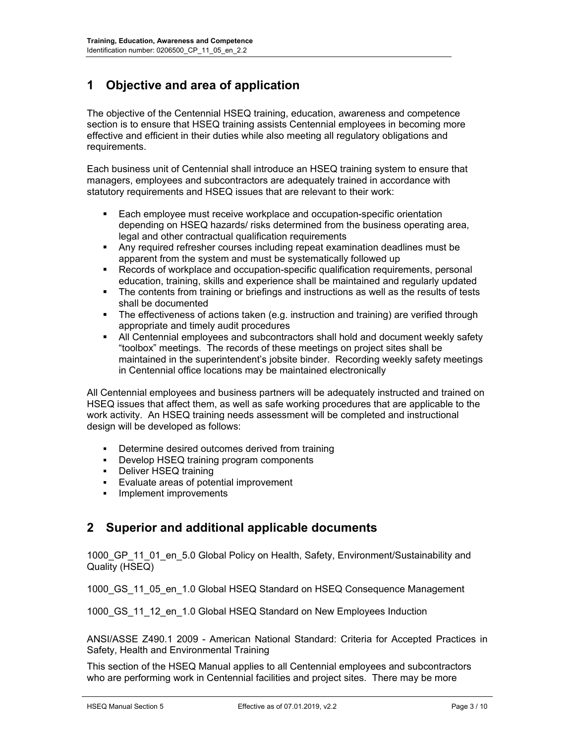## **1 Objective and area of application**

The objective of the Centennial HSEQ training, education, awareness and competence section is to ensure that HSEQ training assists Centennial employees in becoming more effective and efficient in their duties while also meeting all regulatory obligations and requirements.

Each business unit of Centennial shall introduce an HSEQ training system to ensure that managers, employees and subcontractors are adequately trained in accordance with statutory requirements and HSEQ issues that are relevant to their work:

- **Each employee must receive workplace and occupation-specific orientation** depending on HSEQ hazards/ risks determined from the business operating area, legal and other contractual qualification requirements
- Any required refresher courses including repeat examination deadlines must be apparent from the system and must be systematically followed up
- Records of workplace and occupation-specific qualification requirements, personal education, training, skills and experience shall be maintained and regularly updated
- **The contents from training or briefings and instructions as well as the results of tests** shall be documented
- The effectiveness of actions taken (e.g. instruction and training) are verified through appropriate and timely audit procedures
- All Centennial employees and subcontractors shall hold and document weekly safety "toolbox" meetings. The records of these meetings on project sites shall be maintained in the superintendent's jobsite binder. Recording weekly safety meetings in Centennial office locations may be maintained electronically

All Centennial employees and business partners will be adequately instructed and trained on HSEQ issues that affect them, as well as safe working procedures that are applicable to the work activity. An HSEQ training needs assessment will be completed and instructional design will be developed as follows:

- Determine desired outcomes derived from training
- **•** Develop HSEQ training program components
- **-** Deliver HSEQ training
- Evaluate areas of potential improvement
- **Implement improvements**

#### **2 Superior and additional applicable documents**

1000 GP 11 01 en 5.0 Global Policy on Health, Safety, Environment/Sustainability and Quality (HSEQ)

1000\_GS\_11\_05\_en\_1.0 Global HSEQ Standard on HSEQ Consequence Management

1000 GS 11 12 en 1.0 Global HSEQ Standard on New Employees Induction

ANSI/ASSE Z490.1 2009 - American National Standard: Criteria for Accepted Practices in Safety, Health and Environmental Training

This section of the HSEQ Manual applies to all Centennial employees and subcontractors who are performing work in Centennial facilities and project sites. There may be more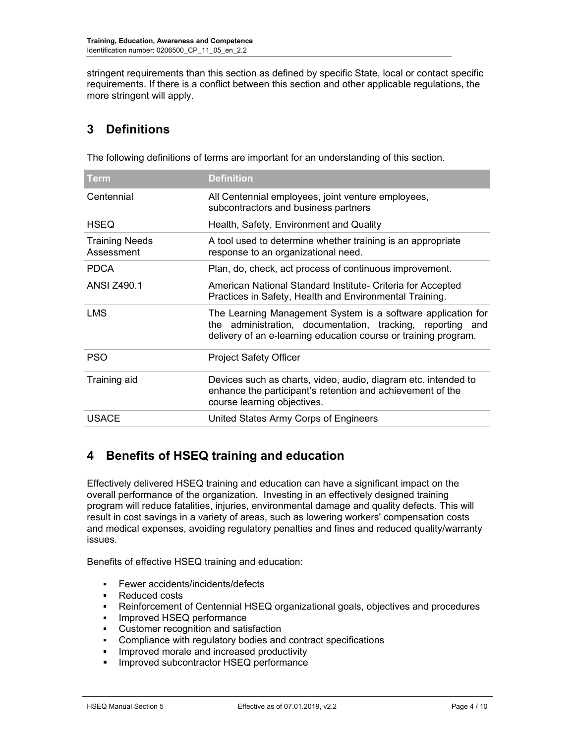stringent requirements than this section as defined by specific State, local or contact specific requirements. If there is a conflict between this section and other applicable regulations, the more stringent will apply.

## **3 Definitions**

The following definitions of terms are important for an understanding of this section.

| <b>Term</b>                         | <b>Definition</b>                                                                                                                                                                             |
|-------------------------------------|-----------------------------------------------------------------------------------------------------------------------------------------------------------------------------------------------|
| Centennial                          | All Centennial employees, joint venture employees,<br>subcontractors and business partners                                                                                                    |
| <b>HSEQ</b>                         | Health, Safety, Environment and Quality                                                                                                                                                       |
| <b>Training Needs</b><br>Assessment | A tool used to determine whether training is an appropriate<br>response to an organizational need.                                                                                            |
| <b>PDCA</b>                         | Plan, do, check, act process of continuous improvement.                                                                                                                                       |
| <b>ANSI Z490.1</b>                  | American National Standard Institute- Criteria for Accepted<br>Practices in Safety, Health and Environmental Training.                                                                        |
| <b>LMS</b>                          | The Learning Management System is a software application for<br>the administration, documentation, tracking, reporting and<br>delivery of an e-learning education course or training program. |
| <b>PSO</b>                          | <b>Project Safety Officer</b>                                                                                                                                                                 |
| Training aid                        | Devices such as charts, video, audio, diagram etc. intended to<br>enhance the participant's retention and achievement of the<br>course learning objectives.                                   |
| <b>USACE</b>                        | United States Army Corps of Engineers                                                                                                                                                         |

## **4 Benefits of HSEQ training and education**

Effectively delivered HSEQ training and education can have a significant impact on the overall performance of the organization. Investing in an effectively designed training program will reduce fatalities, injuries, environmental damage and quality defects. This will result in cost savings in a variety of areas, such as lowering workers' compensation costs and medical expenses, avoiding regulatory penalties and fines and reduced quality/warranty issues.

Benefits of effective HSEQ training and education:

- Fewer accidents/incidents/defects
- **Reduced costs**
- Reinforcement of Centennial HSEQ organizational goals, objectives and procedures
- **Improved HSEQ performance**
- Customer recognition and satisfaction
- Compliance with regulatory bodies and contract specifications
- **IMPROVED MORAL EXAM** increased productivity
- **Improved subcontractor HSEQ performance**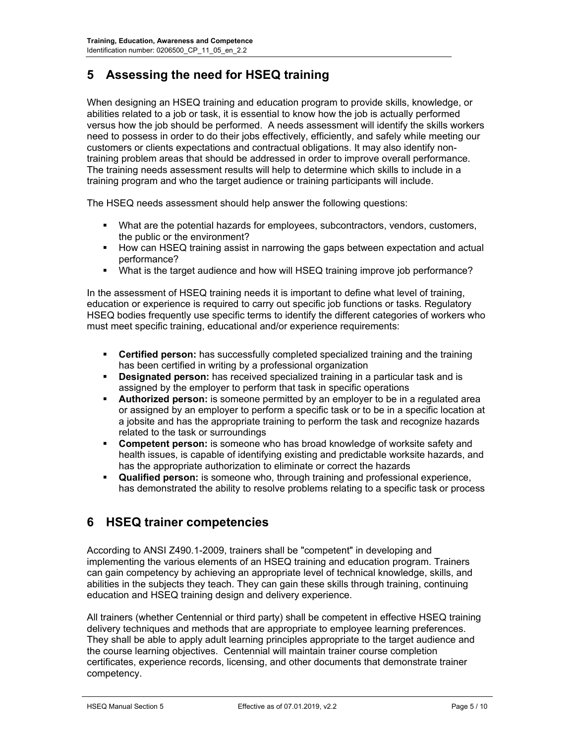## **5 Assessing the need for HSEQ training**

When designing an HSEQ training and education program to provide skills, knowledge, or abilities related to a job or task, it is essential to know how the job is actually performed versus how the job should be performed. A needs assessment will identify the skills workers need to possess in order to do their jobs effectively, efficiently, and safely while meeting our customers or clients expectations and contractual obligations. It may also identify nontraining problem areas that should be addressed in order to improve overall performance. The training needs assessment results will help to determine which skills to include in a training program and who the target audience or training participants will include.

The HSEQ needs assessment should help answer the following questions:

- What are the potential hazards for employees, subcontractors, vendors, customers, the public or the environment?
- How can HSEQ training assist in narrowing the gaps between expectation and actual performance?
- What is the target audience and how will HSEQ training improve job performance?

In the assessment of HSEQ training needs it is important to define what level of training, education or experience is required to carry out specific job functions or tasks. Regulatory HSEQ bodies frequently use specific terms to identify the different categories of workers who must meet specific training, educational and/or experience requirements:

- **Certified person:** has successfully completed specialized training and the training has been certified in writing by a professional organization
- **Designated person:** has received specialized training in a particular task and is assigned by the employer to perform that task in specific operations
- **Authorized person:** is someone permitted by an employer to be in a regulated area or assigned by an employer to perform a specific task or to be in a specific location at a jobsite and has the appropriate training to perform the task and recognize hazards related to the task or surroundings
- **Competent person:** is someone who has broad knowledge of worksite safety and health issues, is capable of identifying existing and predictable worksite hazards, and has the appropriate authorization to eliminate or correct the hazards
- **Qualified person:** is someone who, through training and professional experience, has demonstrated the ability to resolve problems relating to a specific task or process

#### **6 HSEQ trainer competencies**

According to ANSI Z490.1-2009, trainers shall be "competent" in developing and implementing the various elements of an HSEQ training and education program. Trainers can gain competency by achieving an appropriate level of technical knowledge, skills, and abilities in the subjects they teach. They can gain these skills through training, continuing education and HSEQ training design and delivery experience.

All trainers (whether Centennial or third party) shall be competent in effective HSEQ training delivery techniques and methods that are appropriate to employee learning preferences. They shall be able to apply adult learning principles appropriate to the target audience and the course learning objectives. Centennial will maintain trainer course completion certificates, experience records, licensing, and other documents that demonstrate trainer competency.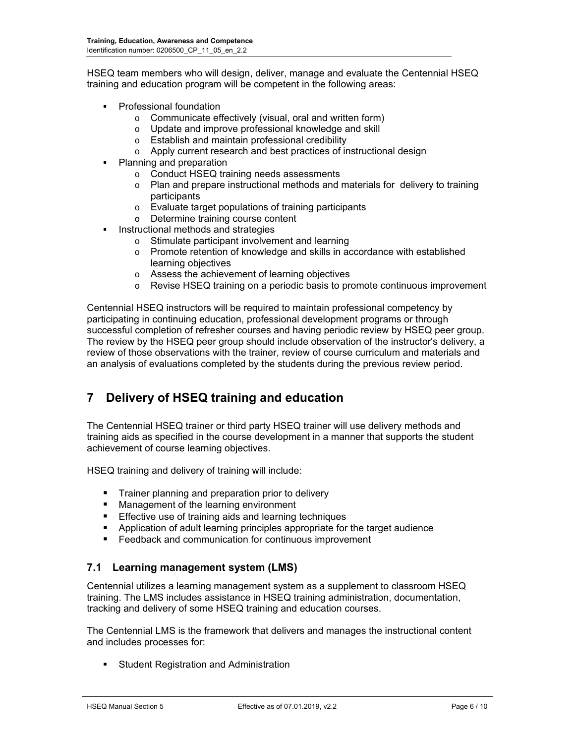HSEQ team members who will design, deliver, manage and evaluate the Centennial HSEQ training and education program will be competent in the following areas:

- Professional foundation
	- o Communicate effectively (visual, oral and written form)
	- o Update and improve professional knowledge and skill
	- o Establish and maintain professional credibility
	- o Apply current research and best practices of instructional design
- Planning and preparation
	- o Conduct HSEQ training needs assessments
	- o Plan and prepare instructional methods and materials for delivery to training participants
	- o Evaluate target populations of training participants
	- o Determine training course content
- Instructional methods and strategies
	- o Stimulate participant involvement and learning
	- o Promote retention of knowledge and skills in accordance with established learning objectives
	- o Assess the achievement of learning objectives
	- $\circ$  Revise HSEQ training on a periodic basis to promote continuous improvement

Centennial HSEQ instructors will be required to maintain professional competency by participating in continuing education, professional development programs or through successful completion of refresher courses and having periodic review by HSEQ peer group. The review by the HSEQ peer group should include observation of the instructor's delivery, a review of those observations with the trainer, review of course curriculum and materials and an analysis of evaluations completed by the students during the previous review period.

#### **7 Delivery of HSEQ training and education**

The Centennial HSEQ trainer or third party HSEQ trainer will use delivery methods and training aids as specified in the course development in a manner that supports the student achievement of course learning objectives.

HSEQ training and delivery of training will include:

- **Trainer planning and preparation prior to delivery**
- **Management of the learning environment**
- **Effective use of training aids and learning techniques**
- Application of adult learning principles appropriate for the target audience
- **Feedback and communication for continuous improvement**

#### **7.1 Learning management system (LMS)**

Centennial utilizes a learning management system as a supplement to classroom HSEQ training. The LMS includes assistance in HSEQ training administration, documentation, tracking and delivery of some HSEQ training and education courses.

The Centennial LMS is the framework that delivers and manages the instructional content and includes processes for:

Student Registration and Administration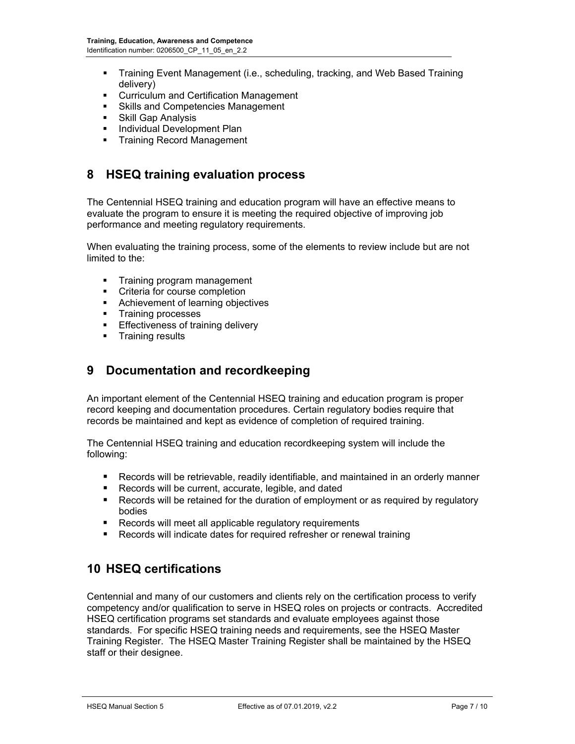- Training Event Management (i.e., scheduling, tracking, and Web Based Training delivery)
- **EXECUTE CUTTICULUM CONTENT** CUTTICULUM and Certification Management
- **Skills and Competencies Management**
- **Skill Gap Analysis**
- **Individual Development Plan**
- **Training Record Management**

## **8 HSEQ training evaluation process**

The Centennial HSEQ training and education program will have an effective means to evaluate the program to ensure it is meeting the required objective of improving job performance and meeting regulatory requirements.

When evaluating the training process, some of the elements to review include but are not limited to the:

- **Training program management**
- **•** Criteria for course completion
- **Achievement of learning objectives**
- **Training processes**
- **Effectiveness of training delivery**
- **Training results**

#### **9 Documentation and recordkeeping**

An important element of the Centennial HSEQ training and education program is proper record keeping and documentation procedures. Certain regulatory bodies require that records be maintained and kept as evidence of completion of required training.

The Centennial HSEQ training and education recordkeeping system will include the following:

- Records will be retrievable, readily identifiable, and maintained in an orderly manner
- **Records will be current, accurate, legible, and dated**
- **Records will be retained for the duration of employment or as required by regulatory** bodies
- **Records will meet all applicable regulatory requirements**
- **Records will indicate dates for required refresher or renewal training**

## **10 HSEQ certifications**

Centennial and many of our customers and clients rely on the certification process to verify competency and/or qualification to serve in HSEQ roles on projects or contracts. Accredited HSEQ certification programs set standards and evaluate employees against those standards. For specific HSEQ training needs and requirements, see the HSEQ Master Training Register. The HSEQ Master Training Register shall be maintained by the HSEQ staff or their designee.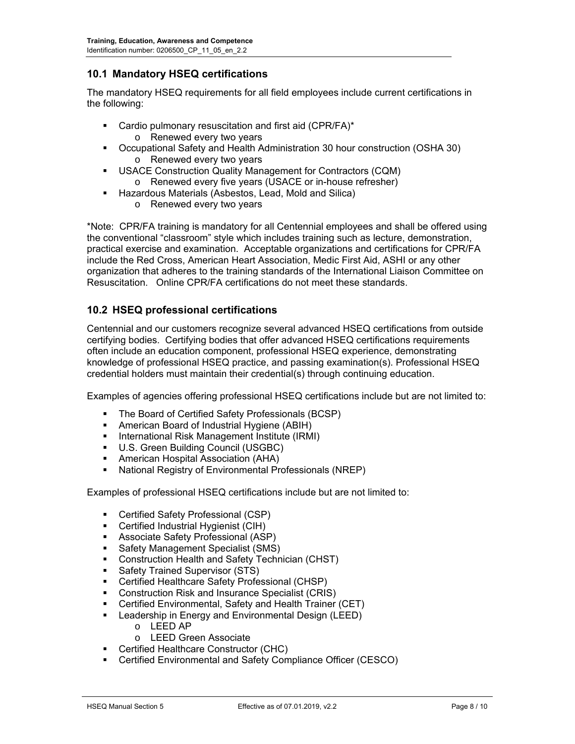#### **10.1 Mandatory HSEQ certifications**

The mandatory HSEQ requirements for all field employees include current certifications in the following:

- Cardio pulmonary resuscitation and first aid (CPR/FA)\* o Renewed every two years
- Occupational Safety and Health Administration 30 hour construction (OSHA 30) o Renewed every two years
- USACE Construction Quality Management for Contractors (CQM) o Renewed every five years (USACE or in-house refresher)
- Hazardous Materials (Asbestos, Lead, Mold and Silica)
	- o Renewed every two years

\*Note: CPR/FA training is mandatory for all Centennial employees and shall be offered using the conventional "classroom" style which includes training such as lecture, demonstration, practical exercise and examination. Acceptable organizations and certifications for CPR/FA include the Red Cross, American Heart Association, Medic First Aid, ASHI or any other organization that adheres to the training standards of the International Liaison Committee on Resuscitation. Online CPR/FA certifications do not meet these standards.

#### **10.2 HSEQ professional certifications**

Centennial and our customers recognize several advanced HSEQ certifications from outside certifying bodies. Certifying bodies that offer advanced HSEQ certifications requirements often include an education component, professional HSEQ experience, demonstrating knowledge of professional HSEQ practice, and passing examination(s). Professional HSEQ credential holders must maintain their credential(s) through continuing education.

Examples of agencies offering professional HSEQ certifications include but are not limited to:

- The Board of Certified Safety Professionals (BCSP)
- American Board of Industrial Hygiene (ABIH)
- **International Risk Management Institute (IRMI)**
- U.S. Green Building Council (USGBC)
- **American Hospital Association (AHA)**
- National Registry of Environmental Professionals (NREP)

Examples of professional HSEQ certifications include but are not limited to:

- Certified Safety Professional (CSP)
- **EXEC** Certified Industrial Hygienist (CIH)
- Associate Safety Professional (ASP)
- Safety Management Specialist (SMS)
- **Construction Health and Safety Technician (CHST)**
- **Safety Trained Supervisor (STS)**
- Certified Healthcare Safety Professional (CHSP)
- **Construction Risk and Insurance Specialist (CRIS)**
- Certified Environmental, Safety and Health Trainer (CET)
- **E** Leadership in Energy and Environmental Design (LEED)
	- o LEED AP
	- o LEED Green Associate
- **EXEC** Certified Healthcare Constructor (CHC)
- Certified Environmental and Safety Compliance Officer (CESCO)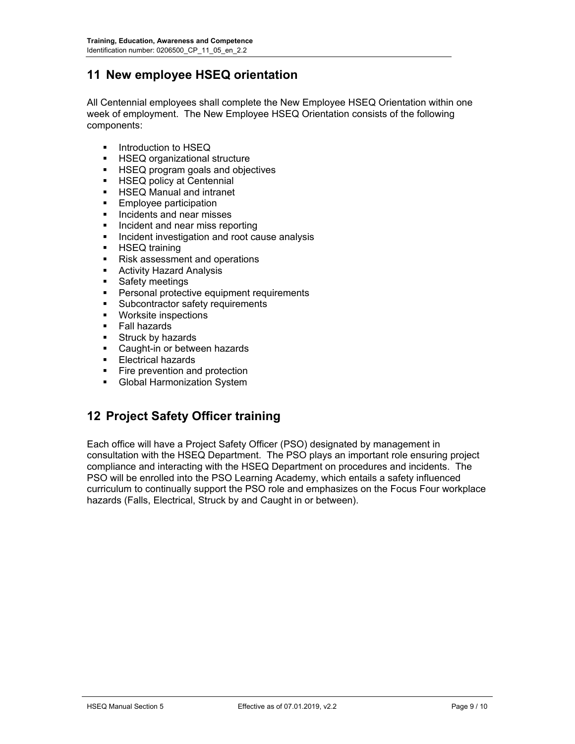## **11 New employee HSEQ orientation**

All Centennial employees shall complete the New Employee HSEQ Orientation within one week of employment. The New Employee HSEQ Orientation consists of the following components:

- Introduction to HSEQ
- HSEQ organizational structure
- **HSEQ program goals and objectives**
- **HSEQ policy at Centennial**
- HSEQ Manual and intranet<br>■ Employee participation
- Employee participation
- **Incidents and near misses**
- **Incident and near miss reporting**
- **Incident investigation and root cause analysis**
- **HSEQ training**
- Risk assessment and operations
- Activity Hazard Analysis
- **Safety meetings**
- **Personal protective equipment requirements**
- **Subcontractor safety requirements**
- **•** Worksite inspections
- **Fall hazards**
- **Struck by hazards**
- **Caught-in or between hazards**
- Electrical hazards<br>■ Eire prevention an
- Fire prevention and protection
- **Global Harmonization System**

#### **12 Project Safety Officer training**

Each office will have a Project Safety Officer (PSO) designated by management in consultation with the HSEQ Department. The PSO plays an important role ensuring project compliance and interacting with the HSEQ Department on procedures and incidents. The PSO will be enrolled into the PSO Learning Academy, which entails a safety influenced curriculum to continually support the PSO role and emphasizes on the Focus Four workplace hazards (Falls, Electrical, Struck by and Caught in or between).